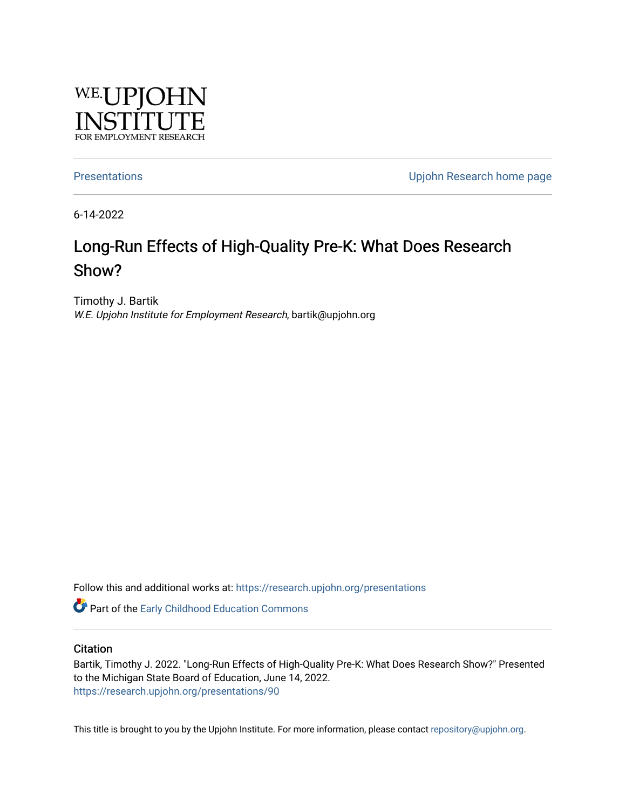

[Presentations](https://research.upjohn.org/presentations) **Presentations Presentations Presentations Upjohn Research home page** 

6-14-2022

#### Long-Run Effects of High-Quality Pre-K: What Does Research Show?

Timothy J. Bartik W.E. Upjohn Institute for Employment Research, bartik@upjohn.org

Follow this and additional works at: [https://research.upjohn.org/presentations](https://research.upjohn.org/presentations?utm_source=research.upjohn.org%2Fpresentations%2F90&utm_medium=PDF&utm_campaign=PDFCoverPages) 

**C** Part of the Early Childhood Education Commons

**Citation** 

Bartik, Timothy J. 2022. "Long-Run Effects of High-Quality Pre-K: What Does Research Show?" Presented to the Michigan State Board of Education, June 14, 2022. <https://research.upjohn.org/presentations/90>

This title is brought to you by the Upjohn Institute. For more information, please contact [repository@upjohn.org](mailto:repository@upjohn.org).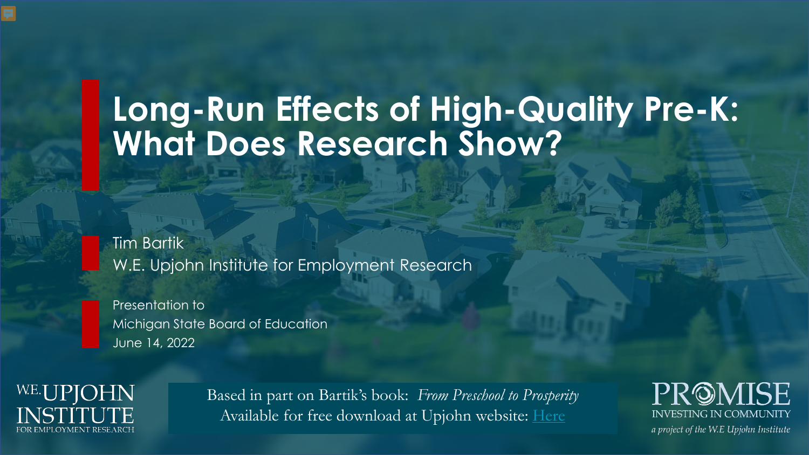# **Long-Run Effects of High-Quality Pre-K: What Does Research Show?**

Tim Bartik W.E. Upjohn Institute for Employment Research

Presentation to Michigan State Board of Education June 14, 2022

W.E.UPJOHN *A*PLOYMENT RESEARCH

Based in part on Bartik's book: *From Preschool to Prosperity* Available for free download at Upjohn website: [Here](https://research.upjohn.org/up_press/228/)

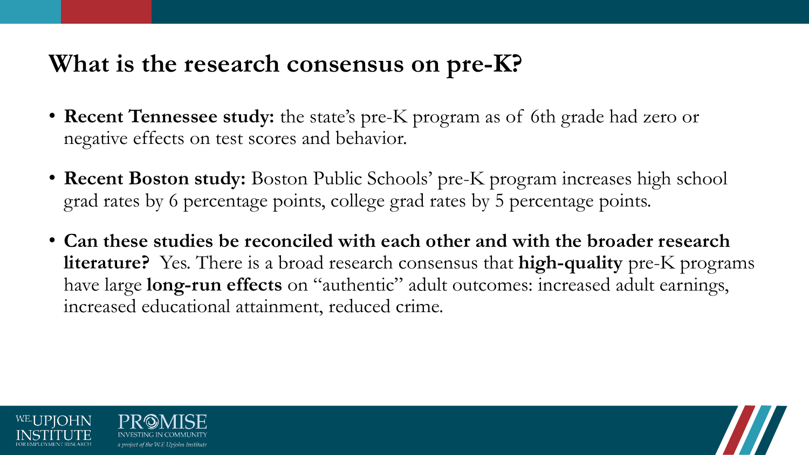## **What is the research consensus on pre-K?**

- **Recent Tennessee study:** the state's pre-K program as of 6th grade had zero or negative effects on test scores and behavior.
- **Recent Boston study:** Boston Public Schools' pre-K program increases high school grad rates by 6 percentage points, college grad rates by 5 percentage points.
- **Can these studies be reconciled with each other and with the broader research literature?** Yes. There is a broad research consensus that **high-quality** pre-K programs have large **long-run effects** on "authentic" adult outcomes: increased adult earnings, increased educational attainment, reduced crime.



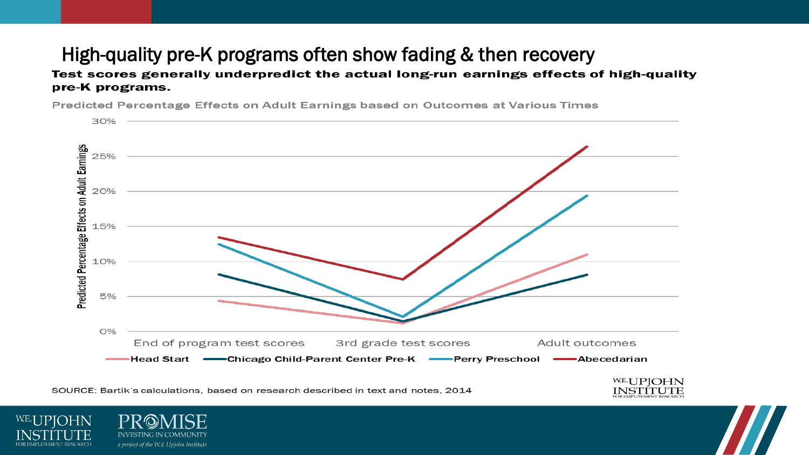### High-quality pre-K programs often show fading & then recovery

#### Test scores generally underpredict the actual long-run earnings effects of high-quality pre-K programs.

Predicted Percentage Effects on Adult Earnings based on Outcomes at Various Times



SOURCE: Bartik's calculations, based on research described in text and notes, 2014



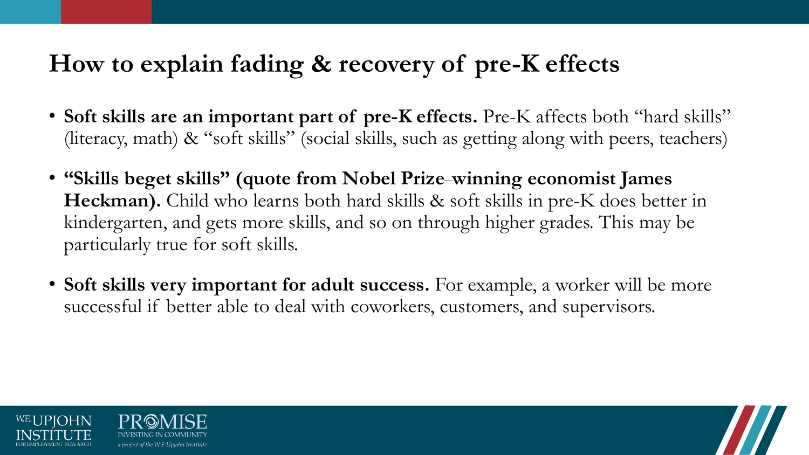# **How to explain fading & recovery of pre-K effects**

- **Soft skills are an important part of pre-K effects.** Pre-K affects both "hard skills" (literacy, math) & "soft skills" (social skills, such as getting along with peers, teachers)
- **"Skills beget skills" (quote from Nobel Prize**–**winning economist James Heckman).** Child who learns both hard skills & soft skills in pre-K does better in kindergarten, and gets more skills, and so on through higher grades. This may be particularly true for soft skills.
- **Soft skills very important for adult success.** For example, a worker will be more successful if better able to deal with coworkers, customers, and supervisors.

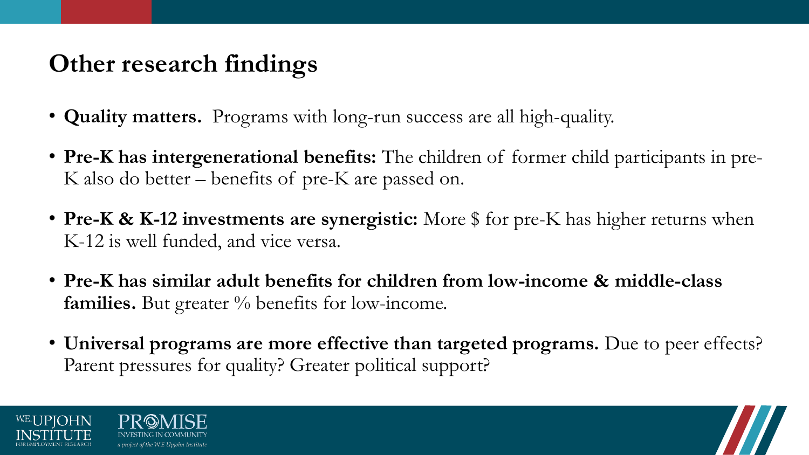# **Other research findings**

- **Quality matters.** Programs with long-run success are all high-quality.
- **Pre-K has intergenerational benefits:** The children of former child participants in pre-K also do better – benefits of pre-K are passed on.
- **Pre-K & K-12 investments are synergistic:** More \$ for pre-K has higher returns when K-12 is well funded, and vice versa.
- **Pre-K has similar adult benefits for children from low-income & middle-class families.** But greater % benefits for low-income.
- **Universal programs are more effective than targeted programs.** Due to peer effects? Parent pressures for quality? Greater political support?



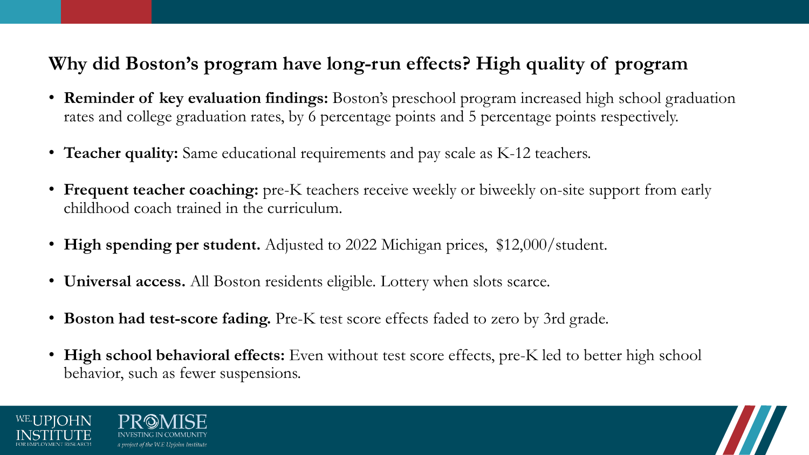#### **Why did Boston's program have long-run effects? High quality of program**

- **Reminder of key evaluation findings:** Boston's preschool program increased high school graduation rates and college graduation rates, by 6 percentage points and 5 percentage points respectively.
- **Teacher quality:** Same educational requirements and pay scale as K-12 teachers.
- **Frequent teacher coaching:** pre-K teachers receive weekly or biweekly on-site support from early childhood coach trained in the curriculum.
- **High spending per student.** Adjusted to 2022 Michigan prices, \$12,000/student.
- **Universal access.** All Boston residents eligible. Lottery when slots scarce.
- **Boston had test-score fading.** Pre-K test score effects faded to zero by 3rd grade.
- **High school behavioral effects:** Even without test score effects, pre-K led to better high school behavior, such as fewer suspensions.



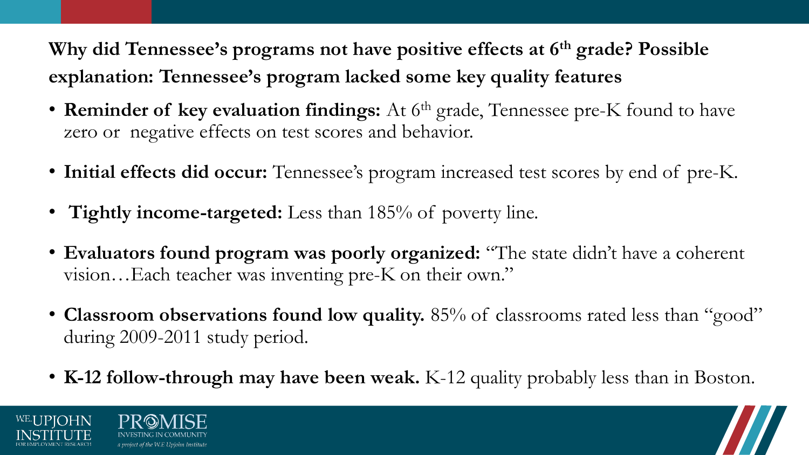**Why did Tennessee's programs not have positive effects at 6th grade? Possible explanation: Tennessee's program lacked some key quality features**

- **Reminder of key evaluation findings:** At 6<sup>th</sup> grade, Tennessee pre-K found to have zero or negative effects on test scores and behavior.
- **Initial effects did occur:** Tennessee's program increased test scores by end of pre-K.
- **Tightly income-targeted:** Less than 185% of poverty line.
- **Evaluators found program was poorly organized:** "The state didn't have a coherent vision…Each teacher was inventing pre-K on their own."
- **Classroom observations found low quality.** 85% of classrooms rated less than "good" during 2009-2011 study period.
- **K-12 follow-through may have been weak.** K-12 quality probably less than in Boston.



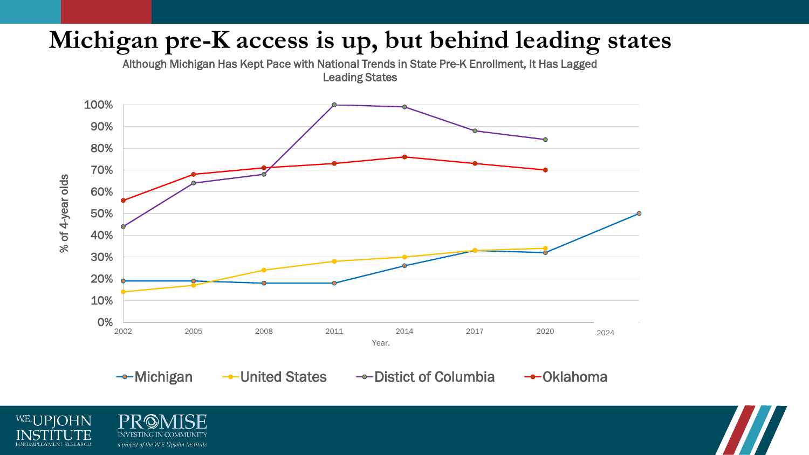## **Michigan pre-K access is up, but behind leading states**

Although Michigan Has Kept Pace with National Trends in State Pre-K Enrollment, It Has Lagged Leading States



W.E.UPJOHN FOR EMPLOYMENT RESEARCH

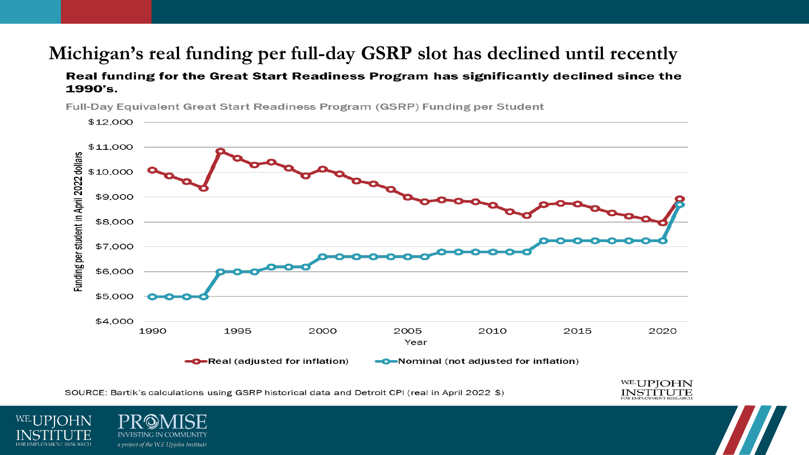#### **Michigan's real funding per full-day GSRP slot has declined until recently**

#### Real funding for the Great Start Readiness Program has significantly declined since the 1990's.



Full-Day Equivalent Great Start Readiness Program (GSRP) Funding per Student

SOURCE: Bartik's calculations using GSRP historical data and Detroit CPI (real in April 2022 \$)

WE.I IPIOHN

FOR EMPLOYMENT RESEARCH

**INVES** 

a project of the W.E Upjohn Institute

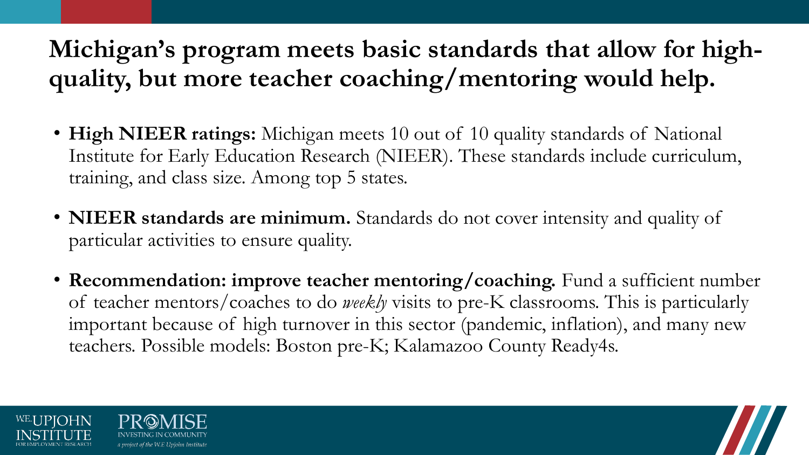# **Michigan's program meets basic standards that allow for highquality, but more teacher coaching/mentoring would help.**

- **High NIEER ratings:** Michigan meets 10 out of 10 quality standards of National Institute for Early Education Research (NIEER). These standards include curriculum, training, and class size. Among top 5 states.
- **NIEER standards are minimum.** Standards do not cover intensity and quality of particular activities to ensure quality.
- **Recommendation: improve teacher mentoring/coaching.** Fund a sufficient number of teacher mentors/coaches to do *weekly* visits to pre-K classrooms. This is particularly important because of high turnover in this sector (pandemic, inflation), and many new teachers. Possible models: Boston pre-K; Kalamazoo County Ready4s.